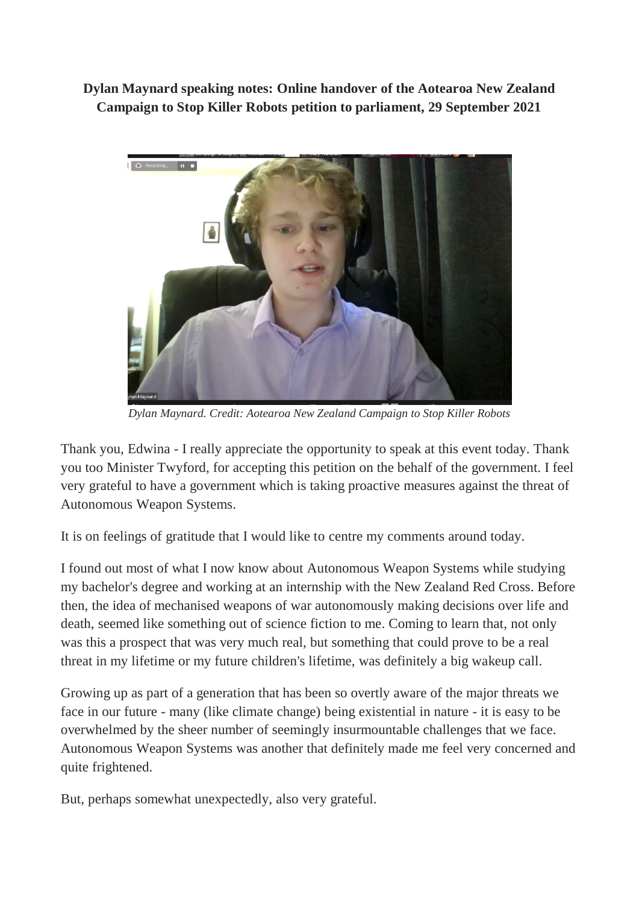**Dylan Maynard speaking notes: Online handover of the Aotearoa New Zealand Campaign to Stop Killer Robots petition to parliament, 29 September 2021**



*Dylan Maynard. Credit: Aotearoa New Zealand Campaign to Stop Killer Robots*

Thank you, Edwina - I really appreciate the opportunity to speak at this event today. Thank you too Minister Twyford, for accepting this petition on the behalf of the government. I feel very grateful to have a government which is taking proactive measures against the threat of Autonomous Weapon Systems.

It is on feelings of gratitude that I would like to centre my comments around today.

I found out most of what I now know about Autonomous Weapon Systems while studying my bachelor's degree and working at an internship with the New Zealand Red Cross. Before then, the idea of mechanised weapons of war autonomously making decisions over life and death, seemed like something out of science fiction to me. Coming to learn that, not only was this a prospect that was very much real, but something that could prove to be a real threat in my lifetime or my future children's lifetime, was definitely a big wakeup call.

Growing up as part of a generation that has been so overtly aware of the major threats we face in our future - many (like climate change) being existential in nature - it is easy to be overwhelmed by the sheer number of seemingly insurmountable challenges that we face. Autonomous Weapon Systems was another that definitely made me feel very concerned and quite frightened.

But, perhaps somewhat unexpectedly, also very grateful.